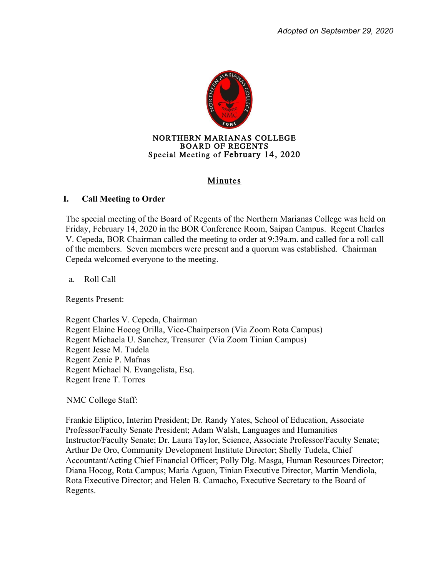

## Minutes

### **I. Call Meeting to Order**

The special meeting of the Board of Regents of the Northern Marianas College was held on Friday, February 14, 2020 in the BOR Conference Room, Saipan Campus. Regent Charles V. Cepeda, BOR Chairman called the meeting to order at 9:39a.m. and called for a roll call of the members. Seven members were present and a quorum was established. Chairman Cepeda welcomed everyone to the meeting.

a. Roll Call

Regents Present:

Regent Charles V. Cepeda, Chairman Regent Elaine Hocog Orilla, Vice-Chairperson (Via Zoom Rota Campus) Regent Michaela U. Sanchez, Treasurer (Via Zoom Tinian Campus) Regent Jesse M. Tudela Regent Zenie P. Mafnas Regent Michael N. Evangelista, Esq. Regent Irene T. Torres

NMC College Staff:

Frankie Eliptico, Interim President; Dr. Randy Yates, School of Education, Associate Professor/Faculty Senate President; Adam Walsh, Languages and Humanities Instructor/Faculty Senate; Dr. Laura Taylor, Science, Associate Professor/Faculty Senate; Arthur De Oro, Community Development Institute Director; Shelly Tudela, Chief Accountant/Acting Chief Financial Officer; Polly Dlg. Masga, Human Resources Director; Diana Hocog, Rota Campus; Maria Aguon, Tinian Executive Director, Martin Mendiola, Rota Executive Director; and Helen B. Camacho, Executive Secretary to the Board of Regents.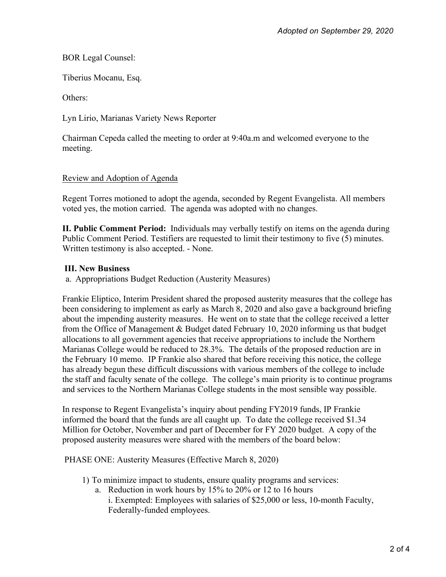BOR Legal Counsel:

Tiberius Mocanu, Esq.

Others:

Lyn Lirio, Marianas Variety News Reporter

 Chairman Cepeda called the meeting to order at 9:40a.m and welcomed everyone to the meeting.

# Review and Adoption of Agenda

Regent Torres motioned to adopt the agenda, seconded by Regent Evangelista. All members voted yes, the motion carried. The agenda was adopted with no changes.

**II. Public Comment Period:** Individuals may verbally testify on items on the agenda during Public Comment Period. Testifiers are requested to limit their testimony to five (5) minutes. Written testimony is also accepted. - None.

# **III. New Business**

a. Appropriations Budget Reduction (Austerity Measures)

Frankie Eliptico, Interim President shared the proposed austerity measures that the college has been considering to implement as early as March 8, 2020 and also gave a background briefing about the impending austerity measures. He went on to state that the college received a letter from the Office of Management & Budget dated February 10, 2020 informing us that budget allocations to all government agencies that receive appropriations to include the Northern Marianas College would be reduced to 28.3%. The details of the proposed reduction are in the February 10 memo. IP Frankie also shared that before receiving this notice, the college has already begun these difficult discussions with various members of the college to include the staff and faculty senate of the college. The college's main priority is to continue programs and services to the Northern Marianas College students in the most sensible way possible.

In response to Regent Evangelista's inquiry about pending FY2019 funds, IP Frankie informed the board that the funds are all caught up. To date the college received \$1.34 Million for October, November and part of December for FY 2020 budget. A copy of the proposed austerity measures were shared with the members of the board below:

PHASE ONE: Austerity Measures (Effective March 8, 2020)

1) To minimize impact to students, ensure quality programs and services:

a. Reduction in work hours by 15% to 20% or 12 to 16 hours

i. Exempted: Employees with salaries of \$25,000 or less, 10-month Faculty, Federally-funded employees.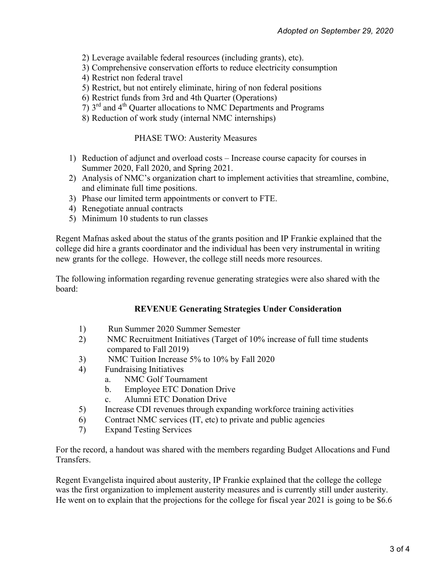- 2) Leverage available federal resources (including grants), etc).
- 3) Comprehensive conservation efforts to reduce electricity consumption
- 4) Restrict non federal travel
- 5) Restrict, but not entirely eliminate, hiring of non federal positions
- 6) Restrict funds from 3rd and 4th Quarter (Operations)
- 7) 3rd and 4th Quarter allocations to NMC Departments and Programs
- 8) Reduction of work study (internal NMC internships)

### PHASE TWO: Austerity Measures

- 1) Reduction of adjunct and overload costs Increase course capacity for courses in Summer 2020, Fall 2020, and Spring 2021.
- 2) Analysis of NMC's organization chart to implement activities that streamline, combine, and eliminate full time positions.
- 3) Phase our limited term appointments or convert to FTE.
- 4) Renegotiate annual contracts
- 5) Minimum 10 students to run classes

Regent Mafnas asked about the status of the grants position and IP Frankie explained that the college did hire a grants coordinator and the individual has been very instrumental in writing new grants for the college. However, the college still needs more resources.

The following information regarding revenue generating strategies were also shared with the board:

## **REVENUE Generating Strategies Under Consideration**

- 1) Run Summer 2020 Summer Semester
- 2) NMC Recruitment Initiatives (Target of 10% increase of full time students compared to Fall 2019)
- 3) NMC Tuition Increase 5% to 10% by Fall 2020
- 4) Fundraising Initiatives
	- a. NMC Golf Tournament
	- b. Employee ETC Donation Drive
	- c. Alumni ETC Donation Drive
- 5) Increase CDI revenues through expanding workforce training activities
- 6) Contract NMC services (IT, etc) to private and public agencies
- 7) Expand Testing Services

For the record, a handout was shared with the members regarding Budget Allocations and Fund Transfers.

Regent Evangelista inquired about austerity, IP Frankie explained that the college the college was the first organization to implement austerity measures and is currently still under austerity. He went on to explain that the projections for the college for fiscal year 2021 is going to be \$6.6